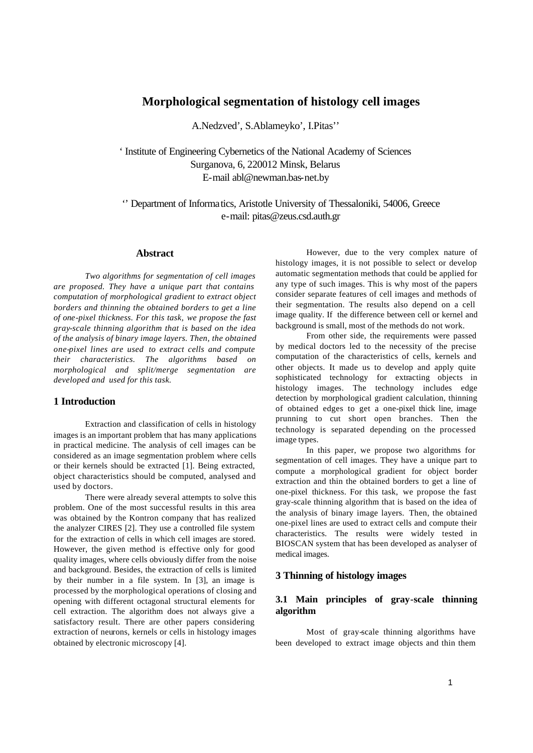# **Morphological segmentation of histology cell images**

A.Nedzved', S.Ablameyko', I.Pitas''

' Institute of Engineering Cybernetics of the National Academy of Sciences Surganova, 6, 220012 Minsk, Belarus E-mail abl@newman.bas-net.by

'' Department of Informatics, Aristotle University of Thessaloniki, 54006, Greece e-mail: pitas@zeus.csd.auth.gr

#### **Abstract**

*Two algorithms for segmentation of cell images are proposed. They have a unique part that contains computation of morphological gradient to extract object borders and thinning the obtained borders to get a line of one-pixel thickness. For this task, we propose the fast gray-scale thinning algorithm that is based on the idea of the analysis of binary image layers. Then, the obtained one-pixel lines are used to extract cells and compute their characteristics. The algorithms based on morphological and split/merge segmentation are developed and used for this task.* 

### **1 Introduction**

Extraction and classification of cells in histology images is an important problem that has many applications in practical medicine. The analysis of cell images can be considered as an image segmentation problem where cells or their kernels should be extracted [1]. Being extracted, object characteristics should be computed, analysed and used by doctors.

There were already several attempts to solve this problem. One of the most successful results in this area was obtained by the Kontron company that has realized the analyzer CIRES [2]. They use a controlled file system for the extraction of cells in which cell images are stored. However, the given method is effective only for good quality images, where cells obviously differ from the noise and background. Besides, the extraction of cells is limited by their number in a file system. In [3], an image is processed by the morphological operations of closing and opening with different octagonal structural elements for cell extraction. The algorithm does not always give a satisfactory result. There are other papers considering extraction of neurons, kernels or cells in histology images obtained by electronic microscopy [4].

However, due to the very complex nature of histology images, it is not possible to select or develop automatic segmentation methods that could be applied for any type of such images. This is why most of the papers consider separate features of cell images and methods of their segmentation. The results also depend on a cell image quality. If the difference between cell or kernel and background is small, most of the methods do not work.

From other side, the requirements were passed by medical doctors led to the necessity of the precise computation of the characteristics of cells, kernels and other objects. It made us to develop and apply quite sophisticated technology for extracting objects in histology images. The technology includes edge detection by morphological gradient calculation, thinning of obtained edges to get a one-pixel thick line, image prunning to cut short open branches. Then the technology is separated depending on the processed image types.

In this paper, we propose two algorithms for segmentation of cell images. They have a unique part to compute a morphological gradient for object border extraction and thin the obtained borders to get a line of one-pixel thickness. For this task, we propose the fast gray-scale thinning algorithm that is based on the idea of the analysis of binary image layers. Then, the obtained one-pixel lines are used to extract cells and compute their characteristics. The results were widely tested in BIOSCAN system that has been developed as analyser of medical images.

# **3 Thinning of histology images**

## **3.1 Main principles of gray-scale thinning algorithm**

Most of gray-scale thinning algorithms have been developed to extract image objects and thin them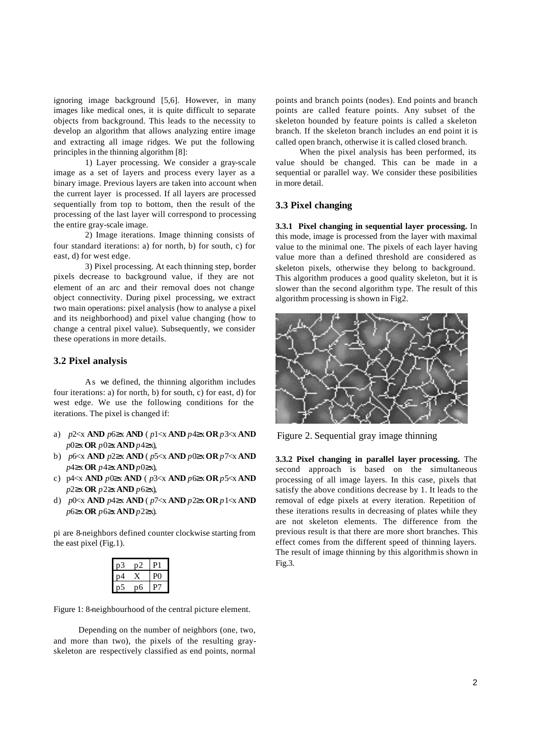ignoring image background [5,6]. However, in many images like medical ones, it is quite difficult to separate objects from background. This leads to the necessity to develop an algorithm that allows analyzing entire image and extracting all image ridges. We put the following principles in the thinning algorithm [8]:

1) Layer processing. We consider a gray-scale image as a set of layers and process every layer as a binary image. Previous layers are taken into account when the current layer is processed. If all layers are processed sequentially from top to bottom, then the result of the processing of the last layer will correspond to processing the entire gray-scale image.

2) Image iterations. Image thinning consists of four standard iterations: a) for north, b) for south, c) for east, d) for west edge.

3) Pixel processing. At each thinning step, border pixels decrease to background value, if they are not element of an arc and their removal does not change object connectivity. During pixel processing, we extract two main operations: pixel analysis (how to analyse a pixel and its neighborhood) and pixel value changing (how to change a central pixel value). Subsequently, we consider these operations in more details.

#### **3.2 Pixel analysis**

As we defined, the thinning algorithm includes four iterations: a) for north, b) for south, c) for east, d) for west edge. We use the following conditions for the iterations. The pixel is changed if:

- a) *p*2<x **AND** *p*6≥x **AND** ( *p*1<x **AND** *p*4≥x **OR** *p*3<x **AND** *p*0≥x **OR** *p*0≥x**AND** *p*4≥x),
- b) *p*6<x **AND** *p*2≥x **AND** ( *p*5<x **AND** *p*0≥x **OR** *p*7<x **AND** *p*4≥x **OR** *p*4≥x **AND** *p*0≥x),
- c) p4<x **AND** *p*0≥x **AND** ( *p*3<x **AND** *p*6≥x **OR** *p*5<x **AND**  *p*2≥x **OR** *p*2≥x **AND** *p*6≥x),
- d) *p*0<x **AND** *p*4≥x **AND** ( *p*7<x **AND** *p*2≥x **OR** *p*1<x **AND**  *p*6≥x **OR** *p*6≥x **AND** *p*2≥x).

pi are 8-neighbors defined counter clockwise starting from the east pixel (Fig.1).

| Z |  |
|---|--|
|   |  |
| h |  |

Figure 1: 8-neighbourhood of the central picture element.

Depending on the number of neighbors (one, two, and more than two), the pixels of the resulting grayskeleton are respectively classified as end points, normal points and branch points (nodes). End points and branch points are called feature points. Any subset of the skeleton bounded by feature points is called a skeleton branch. If the skeleton branch includes an end point it is called open branch, otherwise it is called closed branch.

When the pixel analysis has been performed, its value should be changed. This can be made in a sequential or parallel way. We consider these posibilities in more detail.

#### **3.3 Pixel changing**

**3.3.1 Pixel changing in sequential layer processing.** In this mode, image is processed from the layer with maximal value to the minimal one. The pixels of each layer having value more than a defined threshold are considered as skeleton pixels, otherwise they belong to background. This algorithm produces a good quality skeleton, but it is slower than the second algorithm type. The result of this algorithm processing is shown in Fig2.



Figure 2. Sequential gray image thinning

**3.3.2 Pixel changing in parallel layer processing.** The second approach is based on the simultaneous processing of all image layers. In this case, pixels that satisfy the above conditions decrease by 1. It leads to the removal of edge pixels at every iteration. Repetition of these iterations results in decreasing of plates while they are not skeleton elements. The difference from the previous result is that there are more short branches. This effect comes from the different speed of thinning layers. The result of image thinning by this algorithm is shown in Fig.3.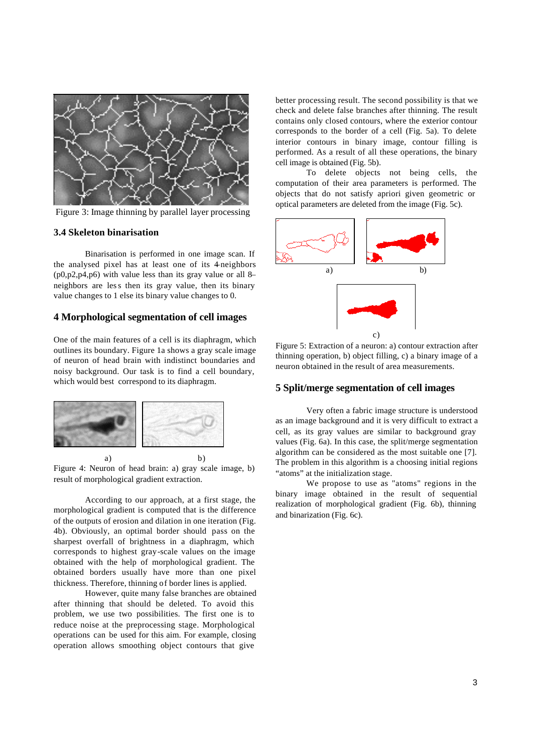

Figure 3: Image thinning by parallel layer processing

### **3.4 Skeleton binarisation**

Binarisation is performed in one image scan. If the analysed pixel has at least one of its 4–neighbors  $(p0,p2,p4,p6)$  with value less than its gray value or all 8– neighbors are less then its gray value, then its binary value changes to 1 else its binary value changes to 0.

# **4 Morphological segmentation of cell images**

One of the main features of a cell is its diaphragm, which outlines its boundary. Figure 1a shows a gray scale image of neuron of head brain with indistinct boundaries and noisy background. Our task is to find a cell boundary, which would best correspond to its diaphragm.



Figure 4: Neuron of head brain: a) gray scale image, b) result of morphological gradient extraction.

According to our approach, at a first stage, the morphological gradient is computed that is the difference of the outputs of erosion and dilation in one iteration (Fig. 4b). Obviously, an optimal border should pass on the sharpest overfall of brightness in a diaphragm, which corresponds to highest gray-scale values on the image obtained with the help of morphological gradient. The obtained borders usually have more than one pixel thickness. Therefore, thinning of border lines is applied.

However, quite many false branches are obtained after thinning that should be deleted. To avoid this problem, we use two possibilities. The first one is to reduce noise at the preprocessing stage. Morphological operations can be used for this aim. For example, closing operation allows smoothing object contours that give

better processing result. The second possibility is that we check and delete false branches after thinning. The result contains only closed contours, where the exterior contour corresponds to the border of a cell (Fig. 5a). To delete interior contours in binary image, contour filling is performed. As a result of all these operations, the binary cell image is obtained (Fig. 5b).

To delete objects not being cells, the computation of their area parameters is performed. The objects that do not satisfy apriori given geometric or optical parameters are deleted from the image (Fig. 5c).



Figure 5: Extraction of a neuron: a) contour extraction after thinning operation, b) object filling, c) a binary image of a neuron obtained in the result of area measurements.

### **5 Split/merge segmentation of cell images**

Very often a fabric image structure is understood as an image background and it is very difficult to extract a cell, as its gray values are similar to background gray values (Fig. 6a). In this case, the split/merge segmentation algorithm can be considered as the most suitable one [7]. The problem in this algorithm is a choosing initial regions "atoms" at the initialization stage.

We propose to use as "atoms" regions in the binary image obtained in the result of sequential realization of morphological gradient (Fig. 6b), thinning and binarization (Fig. 6c).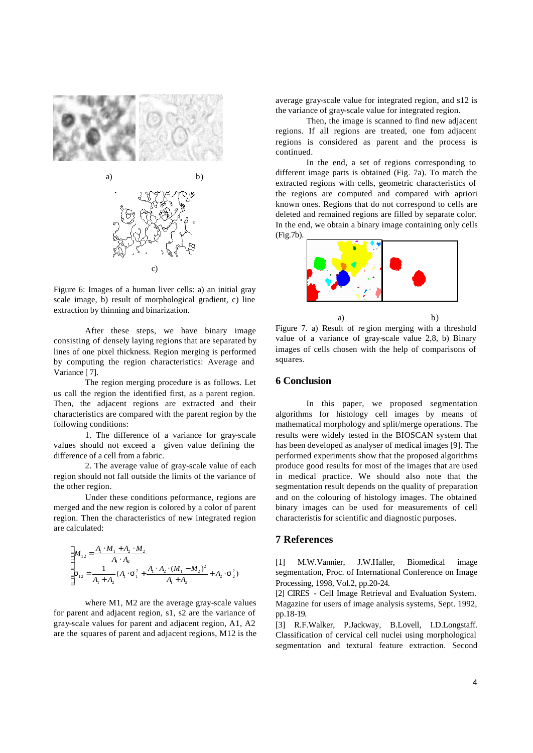

Figure 6: Images of a human liver cells: a) an initial gray scale image, b) result of morphological gradient, c) line extraction by thinning and binarization.

After these steps, we have binary image consisting of densely laying regions that are separated by lines of one pixel thickness. Region merging is performed by computing the region characteristics: Average and Variance [ 7].

The region merging procedure is as follows. Let us call the region the identified first, as a parent region. Then, the adjacent regions are extracted and their characteristics are compared with the parent region by the following conditions:

1. The difference of a variance for gray-scale values should not exceed a given value defining the difference of a cell from a fabric.

2. The average value of gray-scale value of each region should not fall outside the limits of the variance of the other region.

Under these conditions peformance, regions are merged and the new region is colored by a color of parent region. Then the characteristics of new integrated region are calculated:

$$
\begin{cases}\nM_{12} = \frac{A_1 \cdot M_1 + A_2 \cdot M_2}{A_1 \cdot A_2} \\
S_{12} = \frac{1}{A_1 + A_2} (A_1 \cdot S_1^2 + \frac{A_1 \cdot A_2 \cdot (M_1 - M_2)^2}{A_1 + A_2} + A_2 \cdot S_2^2)\n\end{cases}
$$

where M1, M2 are the average gray-scale values for parent and adjacent region, s1, s2 are the variance of gray-scale values for parent and adjacent region, A1, A2 are the squares of parent and adjacent regions, M12 is the average gray-scale value for integrated region, and s12 is the variance of gray-scale value for integrated region.

Then, the image is scanned to find new adjacent regions. If all regions are treated, one fom adjacent regions is considered as parent and the process is continued.

In the end, a set of regions corresponding to different image parts is obtained (Fig. 7a). To match the extracted regions with cells, geometric characteristics of the regions are computed and compared with apriori known ones. Regions that do not correspond to cells are deleted and remained regions are filled by separate color. In the end, we obtain a binary image containing only cells (Fig.7b).



a) b) Figure 7. a) Result of re gion merging with a threshold value of a variance of gray-scale value 2,8, b) Binary images of cells chosen with the help of comparisons of squares.

# **6 Conclusion**

In this paper, we proposed segmentation algorithms for histology cell images by means of mathematical morphology and split/merge operations. The results were widely tested in the BIOSCAN system that has been developed as analyser of medical images [9]. The performed experiments show that the proposed algorithms produce good results for most of the images that are used in medical practice. We should also note that the segmentation result depends on the quality of preparation and on the colouring of histology images. The obtained binary images can be used for measurements of cell characteristis for scientific and diagnostic purposes.

#### **7 References**

[1] M.W.Vannier, J.W.Haller, Biomedical image segmentation, Proc. of International Conference on Image Processing, 1998, Vol.2, pp.20-24.

[2] CIRES - Cell Image Retrieval and Evaluation System. Magazine for users of image analysis systems, Sept. 1992, pp.18-19.

[3] R.F.Walker, P.Jackway, B.Lovell, I.D.Longstaff. Classification of cervical cell nuclei using morphological segmentation and textural feature extraction. Second